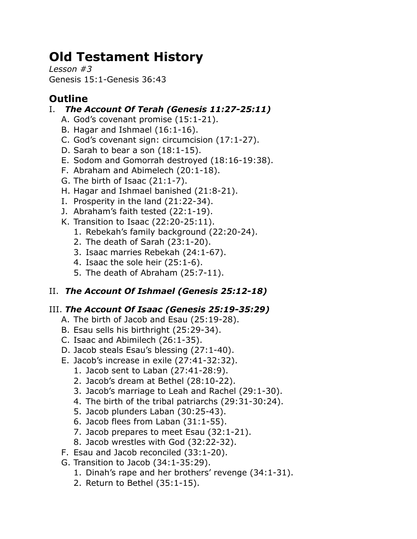# **Old Testament History**

*Lesson #3* Genesis 15:1-Genesis 36:43

# **Outline**

## I. *The Account Of Terah (Genesis 11:27-25:11)*

- A. God's covenant promise (15:1-21).
- B. Hagar and Ishmael (16:1-16).
- C. God's covenant sign: circumcision (17:1-27).
- D. Sarah to bear a son (18:1-15).
- E. Sodom and Gomorrah destroyed (18:16-19:38).
- F. Abraham and Abimelech (20:1-18).
- G. The birth of Isaac (21:1-7).
- H. Hagar and Ishmael banished (21:8-21).
- I. Prosperity in the land (21:22-34).
- J. Abraham's faith tested (22:1-19).
- K. Transition to Isaac (22:20-25:11).
	- 1. Rebekah's family background (22:20-24).
	- 2. The death of Sarah (23:1-20).
	- 3. Isaac marries Rebekah (24:1-67).
	- 4. Isaac the sole heir (25:1-6).
	- 5. The death of Abraham (25:7-11).

# II. *The Account Of Ishmael (Genesis 25:12-18)*

## III. *The Account Of Isaac (Genesis 25:19-35:29)*

- A. The birth of Jacob and Esau (25:19-28).
- B. Esau sells his birthright (25:29-34).
- C. Isaac and Abimilech (26:1-35).
- D. Jacob steals Esau's blessing (27:1-40).
- E. Jacob's increase in exile (27:41-32:32).
	- 1. Jacob sent to Laban (27:41-28:9).
	- 2. Jacob's dream at Bethel (28:10-22).
	- 3. Jacob's marriage to Leah and Rachel (29:1-30).
	- 4. The birth of the tribal patriarchs (29:31-30:24).
	- 5. Jacob plunders Laban (30:25-43).
	- 6. Jacob flees from Laban (31:1-55).
	- 7. Jacob prepares to meet Esau (32:1-21).
	- 8. Jacob wrestles with God (32:22-32).
- F. Esau and Jacob reconciled (33:1-20).
- G. Transition to Jacob (34:1-35:29).
	- 1. Dinah's rape and her brothers' revenge (34:1-31).
	- 2. Return to Bethel (35:1-15).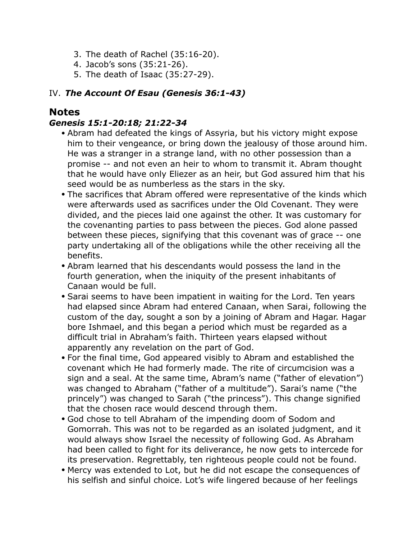- 3. The death of Rachel (35:16-20).
- 4. Jacob's sons (35:21-26).
- 5. The death of Isaac (35:27-29).

#### IV. *The Account Of Esau (Genesis 36:1-43)*

### **Notes**

#### *Genesis 15:1-20:18; 21:22-34*

- Abram had defeated the kings of Assyria, but his victory might expose him to their vengeance, or bring down the jealousy of those around him. He was a stranger in a strange land, with no other possession than a promise -- and not even an heir to whom to transmit it. Abram thought that he would have only Eliezer as an heir, but God assured him that his seed would be as numberless as the stars in the sky.
- The sacrifices that Abram offered were representative of the kinds which were afterwards used as sacrifices under the Old Covenant. They were divided, and the pieces laid one against the other. It was customary for the covenanting parties to pass between the pieces. God alone passed between these pieces, signifying that this covenant was of grace -- one party undertaking all of the obligations while the other receiving all the benefits.
- Abram learned that his descendants would possess the land in the fourth generation, when the iniquity of the present inhabitants of Canaan would be full.
- Sarai seems to have been impatient in waiting for the Lord. Ten years had elapsed since Abram had entered Canaan, when Sarai, following the custom of the day, sought a son by a joining of Abram and Hagar. Hagar bore Ishmael, and this began a period which must be regarded as a difficult trial in Abraham's faith. Thirteen years elapsed without apparently any revelation on the part of God.
- For the final time, God appeared visibly to Abram and established the covenant which He had formerly made. The rite of circumcision was a sign and a seal. At the same time, Abram's name ("father of elevation") was changed to Abraham ("father of a multitude"). Sarai's name ("the princely") was changed to Sarah ("the princess"). This change signified that the chosen race would descend through them.
- God chose to tell Abraham of the impending doom of Sodom and Gomorrah. This was not to be regarded as an isolated judgment, and it would always show Israel the necessity of following God. As Abraham had been called to fight for its deliverance, he now gets to intercede for its preservation. Regrettably, ten righteous people could not be found.
- Mercy was extended to Lot, but he did not escape the consequences of his selfish and sinful choice. Lot's wife lingered because of her feelings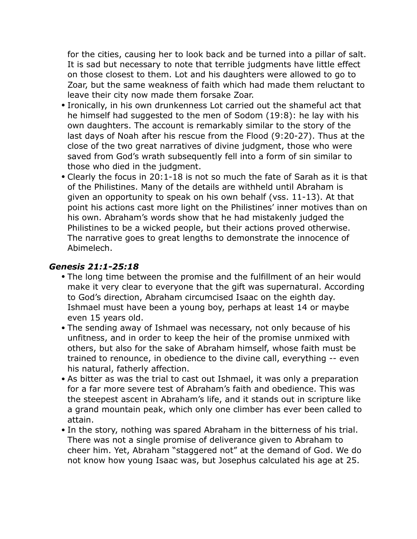for the cities, causing her to look back and be turned into a pillar of salt. It is sad but necessary to note that terrible judgments have little effect on those closest to them. Lot and his daughters were allowed to go to Zoar, but the same weakness of faith which had made them reluctant to leave their city now made them forsake Zoar.

- Ironically, in his own drunkenness Lot carried out the shameful act that he himself had suggested to the men of Sodom (19:8): he lay with his own daughters. The account is remarkably similar to the story of the last days of Noah after his rescue from the Flood (9:20-27). Thus at the close of the two great narratives of divine judgment, those who were saved from God's wrath subsequently fell into a form of sin similar to those who died in the judgment.
- Clearly the focus in 20:1-18 is not so much the fate of Sarah as it is that of the Philistines. Many of the details are withheld until Abraham is given an opportunity to speak on his own behalf (vss. 11-13). At that point his actions cast more light on the Philistines' inner motives than on his own. Abraham's words show that he had mistakenly judged the Philistines to be a wicked people, but their actions proved otherwise. The narrative goes to great lengths to demonstrate the innocence of Abimelech.

#### *Genesis 21:1-25:18*

- The long time between the promise and the fulfillment of an heir would make it very clear to everyone that the gift was supernatural. According to God's direction, Abraham circumcised Isaac on the eighth day. Ishmael must have been a young boy, perhaps at least 14 or maybe even 15 years old.
- The sending away of Ishmael was necessary, not only because of his unfitness, and in order to keep the heir of the promise unmixed with others, but also for the sake of Abraham himself, whose faith must be trained to renounce, in obedience to the divine call, everything -- even his natural, fatherly affection.
- As bitter as was the trial to cast out Ishmael, it was only a preparation for a far more severe test of Abraham's faith and obedience. This was the steepest ascent in Abraham's life, and it stands out in scripture like a grand mountain peak, which only one climber has ever been called to attain.
- In the story, nothing was spared Abraham in the bitterness of his trial. There was not a single promise of deliverance given to Abraham to cheer him. Yet, Abraham "staggered not" at the demand of God. We do not know how young Isaac was, but Josephus calculated his age at 25.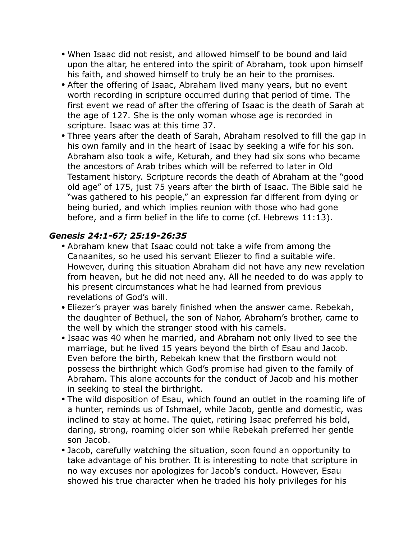- When Isaac did not resist, and allowed himself to be bound and laid upon the altar, he entered into the spirit of Abraham, took upon himself his faith, and showed himself to truly be an heir to the promises.
- After the offering of Isaac, Abraham lived many years, but no event worth recording in scripture occurred during that period of time. The first event we read of after the offering of Isaac is the death of Sarah at the age of 127. She is the only woman whose age is recorded in scripture. Isaac was at this time 37.
- Three years after the death of Sarah, Abraham resolved to fill the gap in his own family and in the heart of Isaac by seeking a wife for his son. Abraham also took a wife, Keturah, and they had six sons who became the ancestors of Arab tribes which will be referred to later in Old Testament history. Scripture records the death of Abraham at the "good old age" of 175, just 75 years after the birth of Isaac. The Bible said he "was gathered to his people," an expression far different from dying or being buried, and which implies reunion with those who had gone before, and a firm belief in the life to come (cf. Hebrews 11:13).

#### *Genesis 24:1-67; 25:19-26:35*

- Abraham knew that Isaac could not take a wife from among the Canaanites, so he used his servant Eliezer to find a suitable wife. However, during this situation Abraham did not have any new revelation from heaven, but he did not need any. All he needed to do was apply to his present circumstances what he had learned from previous revelations of God's will.
- Eliezer's prayer was barely finished when the answer came. Rebekah, the daughter of Bethuel, the son of Nahor, Abraham's brother, came to the well by which the stranger stood with his camels.
- Isaac was 40 when he married, and Abraham not only lived to see the marriage, but he lived 15 years beyond the birth of Esau and Jacob. Even before the birth, Rebekah knew that the firstborn would not possess the birthright which God's promise had given to the family of Abraham. This alone accounts for the conduct of Jacob and his mother in seeking to steal the birthright.
- The wild disposition of Esau, which found an outlet in the roaming life of a hunter, reminds us of Ishmael, while Jacob, gentle and domestic, was inclined to stay at home. The quiet, retiring Isaac preferred his bold, daring, strong, roaming older son while Rebekah preferred her gentle son Jacob.
- Jacob, carefully watching the situation, soon found an opportunity to take advantage of his brother. It is interesting to note that scripture in no way excuses nor apologizes for Jacob's conduct. However, Esau showed his true character when he traded his holy privileges for his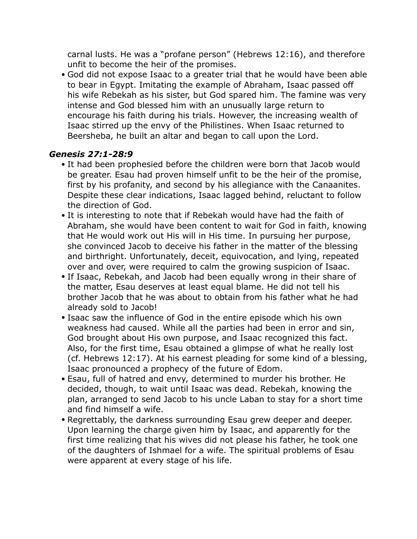carnal lusts. He was a "profane person" (Hebrews 12:16), and therefore unfit to become the heir of the promises.

• God did not expose Isaac to a greater trial that he would have been able to bear in Egypt. Imitating the example of Abraham, Isaac passed off his wife Rebekah as his sister, but God spared him. The famine was very intense and God blessed him with an unusually large return to encourage his faith during his trials. However, the increasing wealth of Isaac stirred up the envy of the Philistines. When Isaac returned to Beersheba, he built an altar and began to call upon the Lord.

#### *Genesis 27:1-28:9*

- It had been prophesied before the children were born that Jacob would be greater. Esau had proven himself unfit to be the heir of the promise, first by his profanity, and second by his allegiance with the Canaanites. Despite these clear indications, Isaac lagged behind, reluctant to follow the direction of God.
- It is interesting to note that if Rebekah would have had the faith of Abraham, she would have been content to wait for God in faith, knowing that He would work out His will in His time. In pursuing her purpose, she convinced Jacob to deceive his father in the matter of the blessing and birthright. Unfortunately, deceit, equivocation, and lying, repeated over and over, were required to calm the growing suspicion of Isaac.
- If Isaac, Rebekah, and Jacob had been equally wrong in their share of the matter, Esau deserves at least equal blame. He did not tell his brother Jacob that he was about to obtain from his father what he had already sold to Jacob!
- Isaac saw the influence of God in the entire episode which his own weakness had caused. While all the parties had been in error and sin, God brought about His own purpose, and Isaac recognized this fact. Also, for the first time, Esau obtained a glimpse of what he really lost (cf. Hebrews 12:17). At his earnest pleading for some kind of a blessing, Isaac pronounced a prophecy of the future of Edom.
- Esau, full of hatred and envy, determined to murder his brother. He decided, though, to wait until Isaac was dead. Rebekah, knowing the plan, arranged to send Jacob to his uncle Laban to stay for a short time and find himself a wife.
- Regrettably, the darkness surrounding Esau grew deeper and deeper. Upon learning the charge given him by Isaac, and apparently for the first time realizing that his wives did not please his father, he took one of the daughters of Ishmael for a wife. The spiritual problems of Esau were apparent at every stage of his life.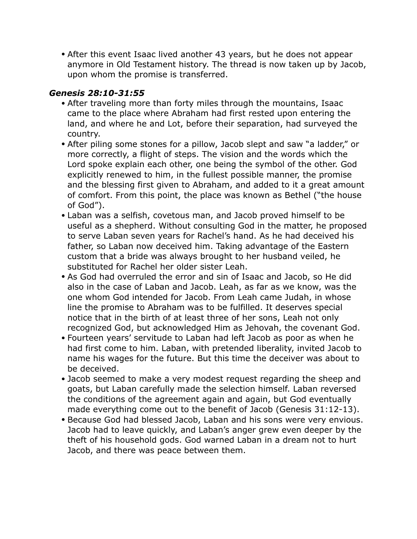• After this event Isaac lived another 43 years, but he does not appear anymore in Old Testament history. The thread is now taken up by Jacob, upon whom the promise is transferred.

#### *Genesis 28:10-31:55*

- After traveling more than forty miles through the mountains, Isaac came to the place where Abraham had first rested upon entering the land, and where he and Lot, before their separation, had surveyed the country.
- After piling some stones for a pillow, Jacob slept and saw "a ladder," or more correctly, a flight of steps. The vision and the words which the Lord spoke explain each other, one being the symbol of the other. God explicitly renewed to him, in the fullest possible manner, the promise and the blessing first given to Abraham, and added to it a great amount of comfort. From this point, the place was known as Bethel ("the house of God").
- Laban was a selfish, covetous man, and Jacob proved himself to be useful as a shepherd. Without consulting God in the matter, he proposed to serve Laban seven years for Rachel's hand. As he had deceived his father, so Laban now deceived him. Taking advantage of the Eastern custom that a bride was always brought to her husband veiled, he substituted for Rachel her older sister Leah.
- As God had overruled the error and sin of Isaac and Jacob, so He did also in the case of Laban and Jacob. Leah, as far as we know, was the one whom God intended for Jacob. From Leah came Judah, in whose line the promise to Abraham was to be fulfilled. It deserves special notice that in the birth of at least three of her sons, Leah not only recognized God, but acknowledged Him as Jehovah, the covenant God.
- Fourteen years' servitude to Laban had left Jacob as poor as when he had first come to him. Laban, with pretended liberality, invited Jacob to name his wages for the future. But this time the deceiver was about to be deceived.
- Jacob seemed to make a very modest request regarding the sheep and goats, but Laban carefully made the selection himself. Laban reversed the conditions of the agreement again and again, but God eventually made everything come out to the benefit of Jacob (Genesis 31:12-13).
- Because God had blessed Jacob, Laban and his sons were very envious. Jacob had to leave quickly, and Laban's anger grew even deeper by the theft of his household gods. God warned Laban in a dream not to hurt Jacob, and there was peace between them.